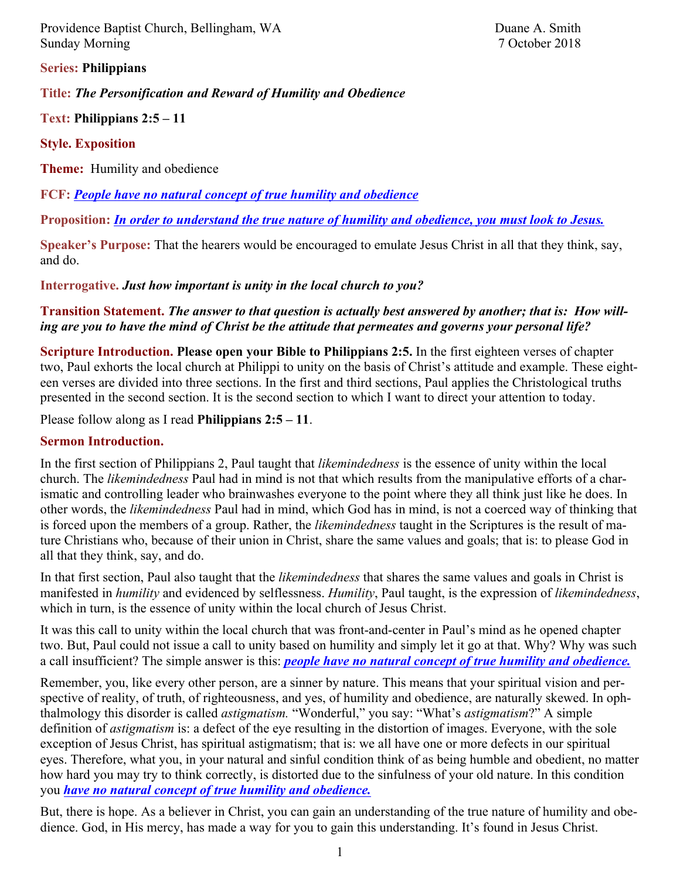Providence Baptist Church, Bellingham, WA Duane A. Smith Sunday Morning 7 October 2018

**Series: Philippians**

**Title:** *The Personification and Reward of Humility and Obedience*

**Text: Philippians 2:5 – 11**

**Style. Exposition**

**Theme:** Humility and obedience

**FCF:** *People have no natural concept of true humility and obedience*

**Proposition:** *In order to understand the true nature of humility and obedience, you must look to Jesus.* 

**Speaker's Purpose:** That the hearers would be encouraged to emulate Jesus Christ in all that they think, say, and do.

**Interrogative.** *Just how important is unity in the local church to you?*

**Transition Statement.** *The answer to that question is actually best answered by another; that is: How willing are you to have the mind of Christ be the attitude that permeates and governs your personal life?*

**Scripture Introduction. Please open your Bible to Philippians 2:5.** In the first eighteen verses of chapter two, Paul exhorts the local church at Philippi to unity on the basis of Christ's attitude and example. These eighteen verses are divided into three sections. In the first and third sections, Paul applies the Christological truths presented in the second section. It is the second section to which I want to direct your attention to today.

Please follow along as I read **Philippians 2:5 – 11**.

#### **Sermon Introduction.**

In the first section of Philippians 2, Paul taught that *likemindedness* is the essence of unity within the local church. The *likemindedness* Paul had in mind is not that which results from the manipulative efforts of a charismatic and controlling leader who brainwashes everyone to the point where they all think just like he does. In other words, the *likemindedness* Paul had in mind, which God has in mind, is not a coerced way of thinking that is forced upon the members of a group. Rather, the *likemindedness* taught in the Scriptures is the result of mature Christians who, because of their union in Christ, share the same values and goals; that is: to please God in all that they think, say, and do.

In that first section, Paul also taught that the *likemindedness* that shares the same values and goals in Christ is manifested in *humility* and evidenced by selflessness. *Humility*, Paul taught, is the expression of *likemindedness*, which in turn, is the essence of unity within the local church of Jesus Christ.

It was this call to unity within the local church that was front-and-center in Paul's mind as he opened chapter two. But, Paul could not issue a call to unity based on humility and simply let it go at that. Why? Why was such a call insufficient? The simple answer is this: *people have no natural concept of true humility and obedience.*

Remember, you, like every other person, are a sinner by nature. This means that your spiritual vision and perspective of reality, of truth, of righteousness, and yes, of humility and obedience, are naturally skewed. In ophthalmology this disorder is called *astigmatism.* "Wonderful," you say: "What's *astigmatism*?" A simple definition of *astigmatism* is: a defect of the eye resulting in the distortion of images. Everyone, with the sole exception of Jesus Christ, has spiritual astigmatism; that is: we all have one or more defects in our spiritual eyes. Therefore, what you, in your natural and sinful condition think of as being humble and obedient, no matter how hard you may try to think correctly, is distorted due to the sinfulness of your old nature. In this condition you *have no natural concept of true humility and obedience.*

But, there is hope. As a believer in Christ, you can gain an understanding of the true nature of humility and obedience. God, in His mercy, has made a way for you to gain this understanding. It's found in Jesus Christ.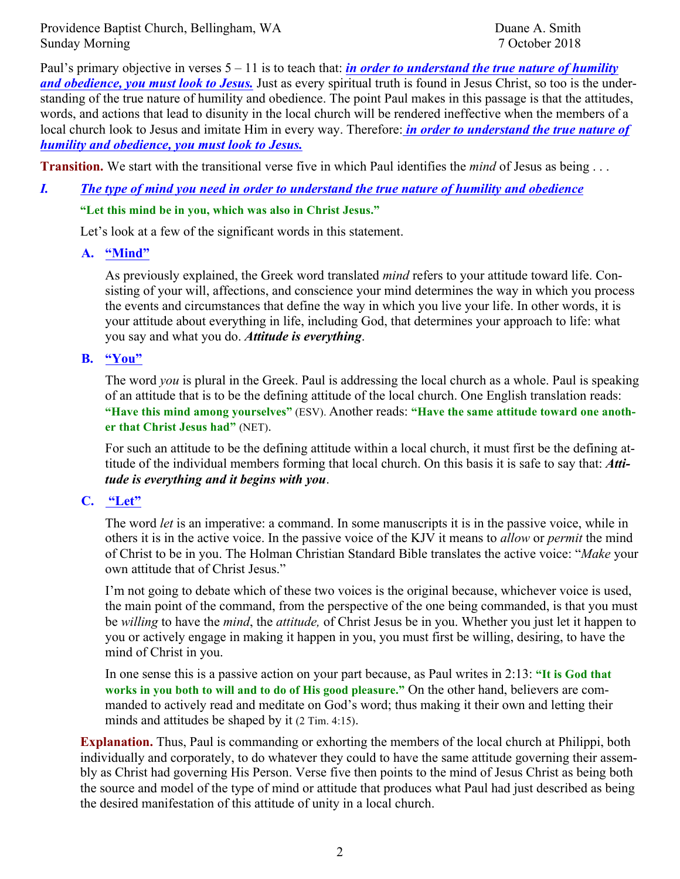Providence Baptist Church, Bellingham, WA Duane A. Smith Sunday Morning 7 October 2018

Paul's primary objective in verses 5 – 11 is to teach that: *in order to understand the true nature of humility and obedience, you must look to Jesus.* Just as every spiritual truth is found in Jesus Christ, so too is the understanding of the true nature of humility and obedience. The point Paul makes in this passage is that the attitudes, words, and actions that lead to disunity in the local church will be rendered ineffective when the members of a local church look to Jesus and imitate Him in every way. Therefore: *in order to understand the true nature of humility and obedience, you must look to Jesus.*

**Transition.** We start with the transitional verse five in which Paul identifies the *mind* of Jesus as being . . .

# *I. The type of mind you need in order to understand the true nature of humility and obedience* **"Let this mind be in you, which was also in Christ Jesus."**

Let's look at a few of the significant words in this statement.

### **A. "Mind"**

As previously explained, the Greek word translated *mind* refers to your attitude toward life. Consisting of your will, affections, and conscience your mind determines the way in which you process the events and circumstances that define the way in which you live your life. In other words, it is your attitude about everything in life, including God, that determines your approach to life: what you say and what you do. *Attitude is everything*.

#### **B. "You"**

The word *you* is plural in the Greek. Paul is addressing the local church as a whole. Paul is speaking of an attitude that is to be the defining attitude of the local church. One English translation reads: **"Have this mind among yourselves"** (ESV). Another reads: **"Have the same attitude toward one another that Christ Jesus had"** (NET).

For such an attitude to be the defining attitude within a local church, it must first be the defining attitude of the individual members forming that local church. On this basis it is safe to say that: *Attitude is everything and it begins with you*.

### **C. "Let"**

The word *let* is an imperative: a command. In some manuscripts it is in the passive voice, while in others it is in the active voice. In the passive voice of the KJV it means to *allow* or *permit* the mind of Christ to be in you. The Holman Christian Standard Bible translates the active voice: "*Make* your own attitude that of Christ Jesus."

I'm not going to debate which of these two voices is the original because, whichever voice is used, the main point of the command, from the perspective of the one being commanded, is that you must be *willing* to have the *mind*, the *attitude,* of Christ Jesus be in you. Whether you just let it happen to you or actively engage in making it happen in you, you must first be willing, desiring, to have the mind of Christ in you.

In one sense this is a passive action on your part because, as Paul writes in 2:13: **"It is God that works in you both to will and to do of His good pleasure."** On the other hand, believers are commanded to actively read and meditate on God's word; thus making it their own and letting their minds and attitudes be shaped by it (2 Tim. 4:15).

**Explanation.** Thus, Paul is commanding or exhorting the members of the local church at Philippi, both individually and corporately, to do whatever they could to have the same attitude governing their assembly as Christ had governing His Person. Verse five then points to the mind of Jesus Christ as being both the source and model of the type of mind or attitude that produces what Paul had just described as being the desired manifestation of this attitude of unity in a local church.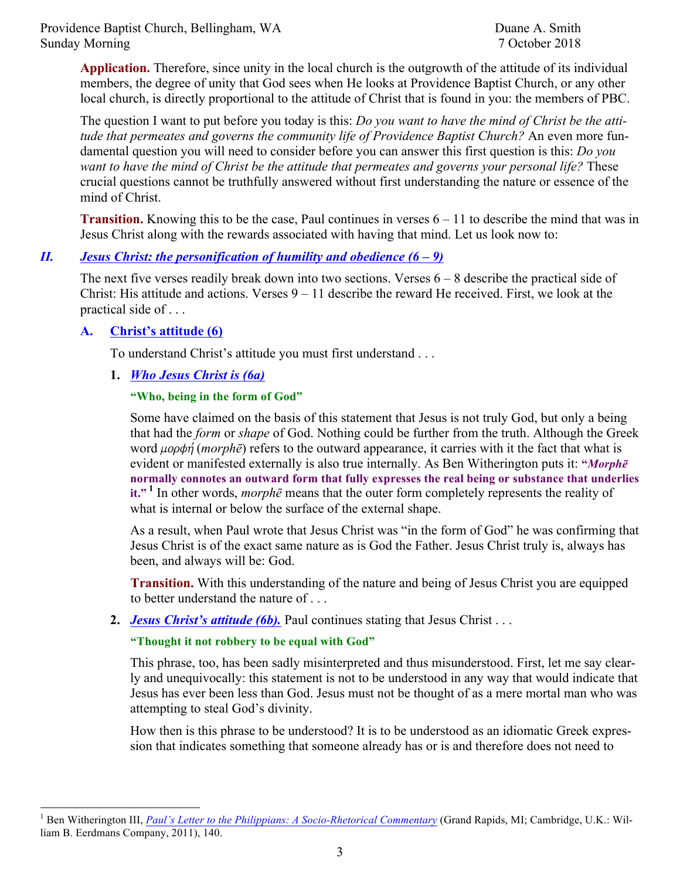Providence Baptist Church, Bellingham, WA Duane A. Smith Sunday Morning 7 October 2018

**Application.** Therefore, since unity in the local church is the outgrowth of the attitude of its individual members, the degree of unity that God sees when He looks at Providence Baptist Church, or any other local church, is directly proportional to the attitude of Christ that is found in you: the members of PBC.

The question I want to put before you today is this: *Do you want to have the mind of Christ be the attitude that permeates and governs the community life of Providence Baptist Church?* An even more fundamental question you will need to consider before you can answer this first question is this: *Do you want to have the mind of Christ be the attitude that permeates and governs your personal life?* These crucial questions cannot be truthfully answered without first understanding the nature or essence of the mind of Christ.

**Transition.** Knowing this to be the case, Paul continues in verses  $6 - 11$  to describe the mind that was in Jesus Christ along with the rewards associated with having that mind. Let us look now to:

### *II. Jesus Christ: the personification of humility and obedience (6 – 9)*

The next five verses readily break down into two sections. Verses 6 – 8 describe the practical side of Christ: His attitude and actions. Verses 9 – 11 describe the reward He received. First, we look at the practical side of . . .

#### **A. Christ's attitude (6)**

To understand Christ's attitude you must first understand . . .

**1.** *Who Jesus Christ is (6a)*

#### **"Who, being in the form of God"**

Some have claimed on the basis of this statement that Jesus is not truly God, but only a being that had the *form* or *shape* of God. Nothing could be further from the truth. Although the Greek word *uopobn* (*morph* $\bar{e}$ ) refers to the outward appearance, it carries with it the fact that what is evident or manifested externally is also true internally. As Ben Witherington puts it: **"***Morphē* **normally connotes an outward form that fully expresses the real being or substance that underlies it." <sup>1</sup>** In other words, *morphē* means that the outer form completely represents the reality of what is internal or below the surface of the external shape.

As a result, when Paul wrote that Jesus Christ was "in the form of God" he was confirming that Jesus Christ is of the exact same nature as is God the Father. Jesus Christ truly is, always has been, and always will be: God.

**Transition.** With this understanding of the nature and being of Jesus Christ you are equipped to better understand the nature of . . .

**2.** *Jesus Christ's attitude (6b).* Paul continues stating that Jesus Christ . . .

#### **"Thought it not robbery to be equal with God"**

This phrase, too, has been sadly misinterpreted and thus misunderstood. First, let me say clearly and unequivocally: this statement is not to be understood in any way that would indicate that Jesus has ever been less than God. Jesus must not be thought of as a mere mortal man who was attempting to steal God's divinity.

How then is this phrase to be understood? It is to be understood as an idiomatic Greek expression that indicates something that someone already has or is and therefore does not need to

<sup>&</sup>lt;sup>1</sup> Ben Witherington III, *Paul's Letter to the Philippians: A Socio-Rhetorical Commentary* (Grand Rapids, MI; Cambridge, U.K.: William B. Eerdmans Company, 2011), 140.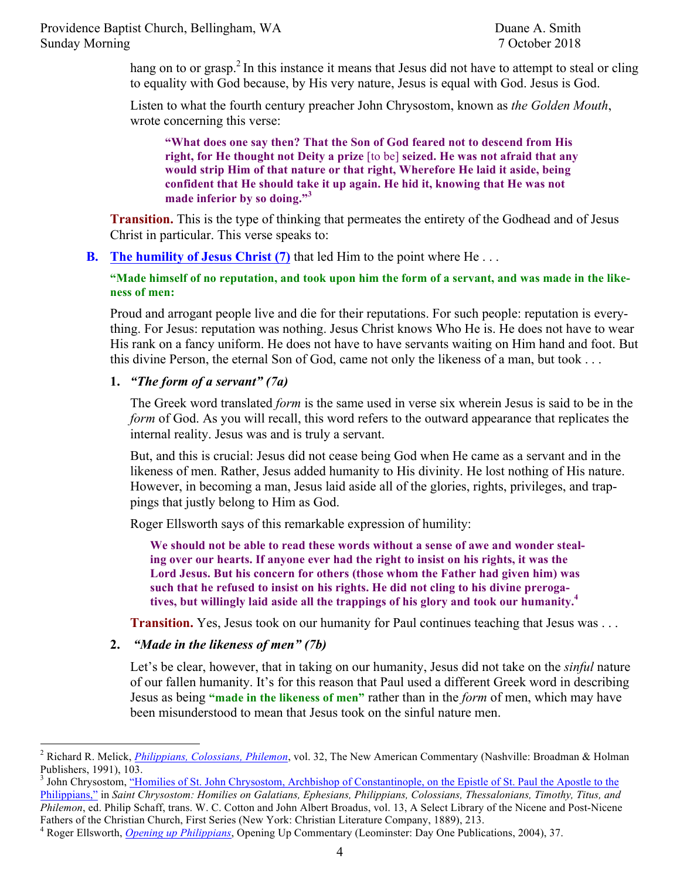hang on to or grasp.<sup>2</sup> In this instance it means that Jesus did not have to attempt to steal or cling to equality with God because, by His very nature, Jesus is equal with God. Jesus is God.

Listen to what the fourth century preacher John Chrysostom, known as *the Golden Mouth*, wrote concerning this verse:

**"What does one say then? That the Son of God feared not to descend from His right, for He thought not Deity a prize** [to be] **seized. He was not afraid that any would strip Him of that nature or that right, Wherefore He laid it aside, being confident that He should take it up again. He hid it, knowing that He was not made inferior by so doing."<sup>3</sup>**

**Transition.** This is the type of thinking that permeates the entirety of the Godhead and of Jesus Christ in particular. This verse speaks to:

**B. The humility of Jesus Christ (7)** that led Him to the point where He . . .

**"Made himself of no reputation, and took upon him the form of a servant, and was made in the likeness of men:** 

Proud and arrogant people live and die for their reputations. For such people: reputation is everything. For Jesus: reputation was nothing. Jesus Christ knows Who He is. He does not have to wear His rank on a fancy uniform. He does not have to have servants waiting on Him hand and foot. But this divine Person, the eternal Son of God, came not only the likeness of a man, but took . . .

## **1.** *"The form of a servant" (7a)*

The Greek word translated *form* is the same used in verse six wherein Jesus is said to be in the *form* of God. As you will recall, this word refers to the outward appearance that replicates the internal reality. Jesus was and is truly a servant.

But, and this is crucial: Jesus did not cease being God when He came as a servant and in the likeness of men. Rather, Jesus added humanity to His divinity. He lost nothing of His nature. However, in becoming a man, Jesus laid aside all of the glories, rights, privileges, and trappings that justly belong to Him as God.

Roger Ellsworth says of this remarkable expression of humility:

**We should not be able to read these words without a sense of awe and wonder stealing over our hearts. If anyone ever had the right to insist on his rights, it was the Lord Jesus. But his concern for others (those whom the Father had given him) was such that he refused to insist on his rights. He did not cling to his divine prerogatives, but willingly laid aside all the trappings of his glory and took our humanity.4**

**Transition.** Yes, Jesus took on our humanity for Paul continues teaching that Jesus was . . .

**2.** *"Made in the likeness of men" (7b)*

Let's be clear, however, that in taking on our humanity, Jesus did not take on the *sinful* nature of our fallen humanity. It's for this reason that Paul used a different Greek word in describing Jesus as being **"made in the likeness of men"** rather than in the *form* of men, which may have been misunderstood to mean that Jesus took on the sinful nature men.

 <sup>2</sup> Richard R. Melick, *Philippians, Colossians, Philemon*, vol. 32, The New American Commentary (Nashville: Broadman & Holman Publishers, 1991), 103.

<sup>&</sup>lt;sup>3</sup> John Chrysostom, "Homilies of St. John Chrysostom, Archbishop of Constantinople, on the Epistle of St. Paul the Apostle to the Philippians," in *Saint Chrysostom: Homilies on Galatians, Ephesians, Philippians, Colossians, Thessalonians, Timothy, Titus, and Philemon*, ed. Philip Schaff, trans. W. C. Cotton and John Albert Broadus, vol. 13, A Select Library of the Nicene and Post-Nicene Fathers of the Christian Church, First Series (New York: Christian Literature Company, 1889), 213.

<sup>4</sup> Roger Ellsworth, *Opening up Philippians*, Opening Up Commentary (Leominster: Day One Publications, 2004), 37.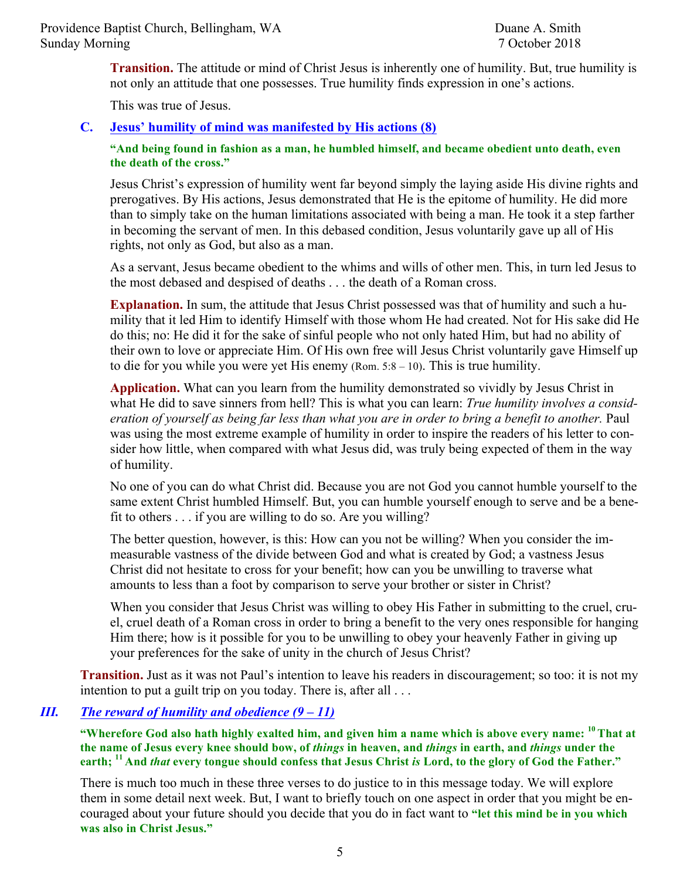**Transition.** The attitude or mind of Christ Jesus is inherently one of humility. But, true humility is not only an attitude that one possesses. True humility finds expression in one's actions.

This was true of Jesus.

## **C. Jesus' humility of mind was manifested by His actions (8)**

**"And being found in fashion as a man, he humbled himself, and became obedient unto death, even the death of the cross."**

Jesus Christ's expression of humility went far beyond simply the laying aside His divine rights and prerogatives. By His actions, Jesus demonstrated that He is the epitome of humility. He did more than to simply take on the human limitations associated with being a man. He took it a step farther in becoming the servant of men. In this debased condition, Jesus voluntarily gave up all of His rights, not only as God, but also as a man.

As a servant, Jesus became obedient to the whims and wills of other men. This, in turn led Jesus to the most debased and despised of deaths . . . the death of a Roman cross.

**Explanation.** In sum, the attitude that Jesus Christ possessed was that of humility and such a humility that it led Him to identify Himself with those whom He had created. Not for His sake did He do this; no: He did it for the sake of sinful people who not only hated Him, but had no ability of their own to love or appreciate Him. Of His own free will Jesus Christ voluntarily gave Himself up to die for you while you were yet His enemy (Rom. 5:8 – 10). This is true humility.

**Application.** What can you learn from the humility demonstrated so vividly by Jesus Christ in what He did to save sinners from hell? This is what you can learn: *True humility involves a consideration of yourself as being far less than what you are in order to bring a benefit to another.* Paul was using the most extreme example of humility in order to inspire the readers of his letter to consider how little, when compared with what Jesus did, was truly being expected of them in the way of humility.

No one of you can do what Christ did. Because you are not God you cannot humble yourself to the same extent Christ humbled Himself. But, you can humble yourself enough to serve and be a benefit to others . . . if you are willing to do so. Are you willing?

The better question, however, is this: How can you not be willing? When you consider the immeasurable vastness of the divide between God and what is created by God; a vastness Jesus Christ did not hesitate to cross for your benefit; how can you be unwilling to traverse what amounts to less than a foot by comparison to serve your brother or sister in Christ?

When you consider that Jesus Christ was willing to obey His Father in submitting to the cruel, cruel, cruel death of a Roman cross in order to bring a benefit to the very ones responsible for hanging Him there; how is it possible for you to be unwilling to obey your heavenly Father in giving up your preferences for the sake of unity in the church of Jesus Christ?

**Transition.** Just as it was not Paul's intention to leave his readers in discouragement; so too: it is not my intention to put a guilt trip on you today. There is, after all . . .

## *III. The reward of humility and obedience (9 – 11)*

"Wherefore God also hath highly exalted him, and given him a name which is above every name: <sup>10</sup>That at **the name of Jesus every knee should bow, of** *things* **in heaven, and** *things* **in earth, and** *things* **under the earth; <sup>11</sup> And** *that* **every tongue should confess that Jesus Christ** *is* **Lord, to the glory of God the Father."**

There is much too much in these three verses to do justice to in this message today. We will explore them in some detail next week. But, I want to briefly touch on one aspect in order that you might be encouraged about your future should you decide that you do in fact want to **"let this mind be in you which was also in Christ Jesus."**